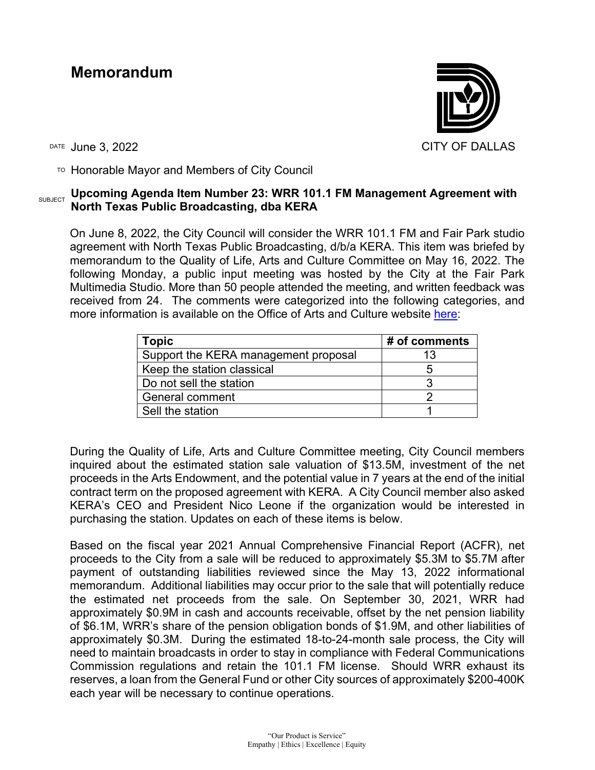## **Memorandum**



TO Honorable Mayor and Members of City Council

## **SUBJECT Upcoming Agenda Item Number 23: WRR 101.1 FM Management Agreement with North Texas Public Broadcasting, dba KERA**

On June 8, 2022, the City Council will consider the WRR 101.1 FM and Fair Park studio agreement with North Texas Public Broadcasting, d/b/a KERA. This item was briefed by memorandum to the Quality of Life, Arts and Culture Committee on May 16, 2022. The following Monday, a public input meeting was hosted by the City at the Fair Park Multimedia Studio. More than 50 people attended the meeting, and written feedback was received from 24. The comments were categorized into the following categories, and more information is available on the Office of Arts and Culture website [here:](https://dallasculture.org/2022/05/wrr-open-house-for-public-input/)

| Topic                                | # of comments |
|--------------------------------------|---------------|
| Support the KERA management proposal |               |
| Keep the station classical           |               |
| Do not sell the station              |               |
| <b>General comment</b>               |               |
| Sell the station                     |               |

During the Quality of Life, Arts and Culture Committee meeting, City Council members inquired about the estimated station sale valuation of \$13.5M, investment of the net proceeds in the Arts Endowment, and the potential value in 7 years at the end of the initial contract term on the proposed agreement with KERA. A City Council member also asked KERA's CEO and President Nico Leone if the organization would be interested in purchasing the station. Updates on each of these items is below.

Based on the fiscal year 2021 Annual Comprehensive Financial Report (ACFR), net proceeds to the City from a sale will be reduced to approximately \$5.3M to \$5.7M after payment of outstanding liabilities reviewed since the May 13, 2022 informational memorandum. Additional liabilities may occur prior to the sale that will potentially reduce the estimated net proceeds from the sale. On September 30, 2021, WRR had approximately \$0.9M in cash and accounts receivable, offset by the net pension liability of \$6.1M, WRR's share of the pension obligation bonds of \$1.9M, and other liabilities of approximately \$0.3M. During the estimated 18-to-24-month sale process, the City will need to maintain broadcasts in order to stay in compliance with Federal Communications Commission regulations and retain the 101.1 FM license. Should WRR exhaust its reserves, a loan from the General Fund or other City sources of approximately \$200-400K each year will be necessary to continue operations.